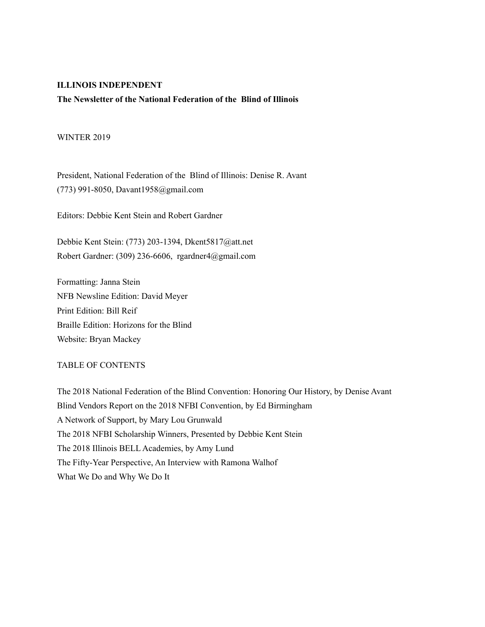#### **ILLINOIS INDEPENDENT**

## **The Newsletter of the National Federation of the Blind of Illinois**

#### WINTER 2019

President, National Federation of the Blind of Illinois: Denise R. Avant (773) 991-8050, Davant1958@gmail.com

Editors: Debbie Kent Stein and Robert Gardner

Debbie Kent Stein: (773) 203-1394, Dkent5817@att.net Robert Gardner: (309) 236-6606, rgardner4@gmail.com

Formatting: Janna Stein NFB Newsline Edition: David Meyer Print Edition: Bill Reif Braille Edition: Horizons for the Blind Website: Bryan Mackey

## TABLE OF CONTENTS

The 2018 National Federation of the Blind Convention: Honoring Our History, by Denise Avant Blind Vendors Report on the 2018 NFBI Convention, by Ed Birmingham A Network of Support, by Mary Lou Grunwald The 2018 NFBI Scholarship Winners, Presented by Debbie Kent Stein The 2018 Illinois BELL Academies, by Amy Lund The Fifty-Year Perspective, An Interview with Ramona Walhof What We Do and Why We Do It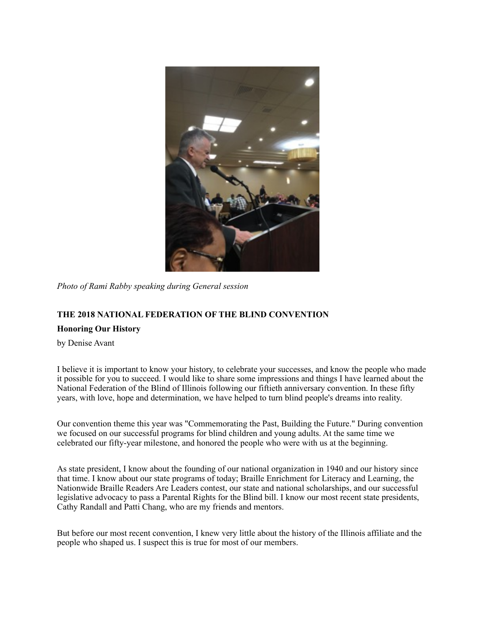

*Photo of Rami Rabby speaking during General session*

## **THE 2018 NATIONAL FEDERATION OF THE BLIND CONVENTION**

#### **Honoring Our History**

by Denise Avant

I believe it is important to know your history, to celebrate your successes, and know the people who made it possible for you to succeed. I would like to share some impressions and things I have learned about the National Federation of the Blind of Illinois following our fiftieth anniversary convention. In these fifty years, with love, hope and determination, we have helped to turn blind people's dreams into reality.

Our convention theme this year was "Commemorating the Past, Building the Future." During convention we focused on our successful programs for blind children and young adults. At the same time we celebrated our fifty-year milestone, and honored the people who were with us at the beginning.

As state president, I know about the founding of our national organization in 1940 and our history since that time. I know about our state programs of today; Braille Enrichment for Literacy and Learning, the Nationwide Braille Readers Are Leaders contest, our state and national scholarships, and our successful legislative advocacy to pass a Parental Rights for the Blind bill. I know our most recent state presidents, Cathy Randall and Patti Chang, who are my friends and mentors.

But before our most recent convention, I knew very little about the history of the Illinois affiliate and the people who shaped us. I suspect this is true for most of our members.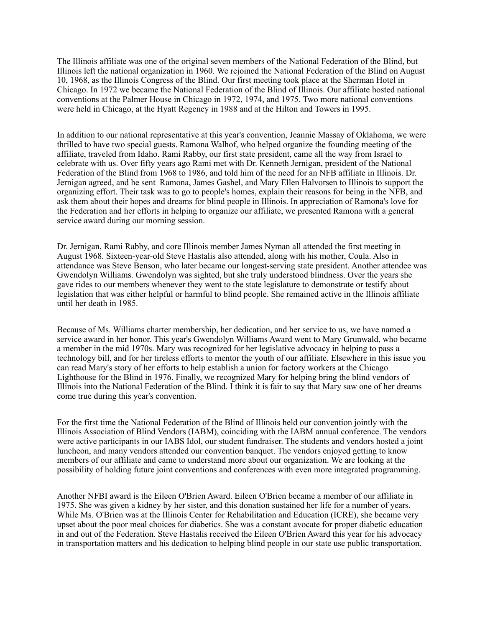The Illinois affiliate was one of the original seven members of the National Federation of the Blind, but Illinois left the national organization in 1960. We rejoined the National Federation of the Blind on August 10, 1968, as the Illinois Congress of the Blind. Our first meeting took place at the Sherman Hotel in Chicago. In 1972 we became the National Federation of the Blind of Illinois. Our affiliate hosted national conventions at the Palmer House in Chicago in 1972, 1974, and 1975. Two more national conventions were held in Chicago, at the Hyatt Regency in 1988 and at the Hilton and Towers in 1995.

In addition to our national representative at this year's convention, Jeannie Massay of Oklahoma, we were thrilled to have two special guests. Ramona Walhof, who helped organize the founding meeting of the affiliate, traveled from Idaho. Rami Rabby, our first state president, came all the way from Israel to celebrate with us. Over fifty years ago Rami met with Dr. Kenneth Jernigan, president of the National Federation of the Blind from 1968 to 1986, and told him of the need for an NFB affiliate in Illinois. Dr. Jernigan agreed, and he sent Ramona, James Gashel, and Mary Ellen Halvorsen to Illinois to support the organizing effort. Their task was to go to people's homes, explain their reasons for being in the NFB, and ask them about their hopes and dreams for blind people in Illinois. In appreciation of Ramona's love for the Federation and her efforts in helping to organize our affiliate, we presented Ramona with a general service award during our morning session.

Dr. Jernigan, Rami Rabby, and core Illinois member James Nyman all attended the first meeting in August 1968. Sixteen-year-old Steve Hastalis also attended, along with his mother, Coula. Also in attendance was Steve Benson, who later became our longest-serving state president. Another attendee was Gwendolyn Williams. Gwendolyn was sighted, but she truly understood blindness. Over the years she gave rides to our members whenever they went to the state legislature to demonstrate or testify about legislation that was either helpful or harmful to blind people. She remained active in the Illinois affiliate until her death in 1985.

Because of Ms. Williams charter membership, her dedication, and her service to us, we have named a service award in her honor. This year's Gwendolyn Williams Award went to Mary Grunwald, who became a member in the mid 1970s. Mary was recognized for her legislative advocacy in helping to pass a technology bill, and for her tireless efforts to mentor the youth of our affiliate. Elsewhere in this issue you can read Mary's story of her efforts to help establish a union for factory workers at the Chicago Lighthouse for the Blind in 1976. Finally, we recognized Mary for helping bring the blind vendors of Illinois into the National Federation of the Blind. I think it is fair to say that Mary saw one of her dreams come true during this year's convention.

For the first time the National Federation of the Blind of Illinois held our convention jointly with the Illinois Association of Blind Vendors (IABM), coinciding with the IABM annual conference. The vendors were active participants in our IABS Idol, our student fundraiser. The students and vendors hosted a joint luncheon, and many vendors attended our convention banquet. The vendors enjoyed getting to know members of our affiliate and came to understand more about our organization. We are looking at the possibility of holding future joint conventions and conferences with even more integrated programming.

Another NFBI award is the Eileen O'Brien Award. Eileen O'Brien became a member of our affiliate in 1975. She was given a kidney by her sister, and this donation sustained her life for a number of years. While Ms. O'Brien was at the Illinois Center for Rehabilitation and Education (ICRE), she became very upset about the poor meal choices for diabetics. She was a constant avocate for proper diabetic education in and out of the Federation. Steve Hastalis received the Eileen O'Brien Award this year for his advocacy in transportation matters and his dedication to helping blind people in our state use public transportation.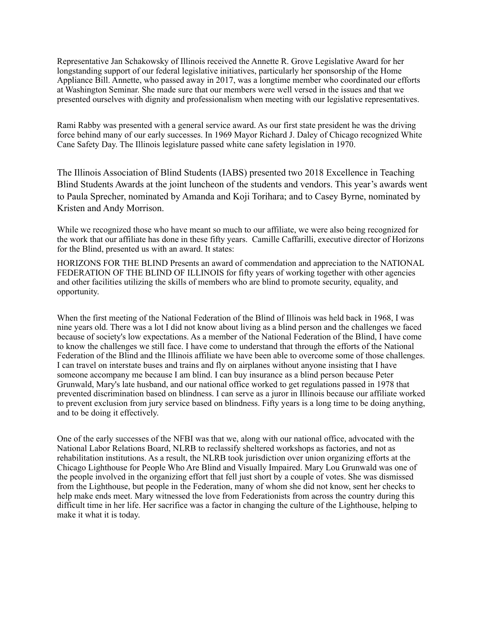Representative Jan Schakowsky of Illinois received the Annette R. Grove Legislative Award for her longstanding support of our federal legislative initiatives, particularly her sponsorship of the Home Appliance Bill. Annette, who passed away in 2017, was a longtime member who coordinated our efforts at Washington Seminar. She made sure that our members were well versed in the issues and that we presented ourselves with dignity and professionalism when meeting with our legislative representatives.

Rami Rabby was presented with a general service award. As our first state president he was the driving force behind many of our early successes. In 1969 Mayor Richard J. Daley of Chicago recognized White Cane Safety Day. The Illinois legislature passed white cane safety legislation in 1970.

The Illinois Association of Blind Students (IABS) presented two 2018 Excellence in Teaching Blind Students Awards at the joint luncheon of the students and vendors. This year's awards went to Paula Sprecher, nominated by Amanda and Koji Torihara; and to Casey Byrne, nominated by Kristen and Andy Morrison.

While we recognized those who have meant so much to our affiliate, we were also being recognized for the work that our affiliate has done in these fifty years. Camille Caffarilli, executive director of Horizons for the Blind, presented us with an award. It states:

HORIZONS FOR THE BLIND Presents an award of commendation and appreciation to the NATIONAL FEDERATION OF THE BLIND OF ILLINOIS for fifty years of working together with other agencies and other facilities utilizing the skills of members who are blind to promote security, equality, and opportunity.

When the first meeting of the National Federation of the Blind of Illinois was held back in 1968, I was nine years old. There was a lot I did not know about living as a blind person and the challenges we faced because of society's low expectations. As a member of the National Federation of the Blind, I have come to know the challenges we still face. I have come to understand that through the efforts of the National Federation of the Blind and the Illinois affiliate we have been able to overcome some of those challenges. I can travel on interstate buses and trains and fly on airplanes without anyone insisting that I have someone accompany me because I am blind. I can buy insurance as a blind person because Peter Grunwald, Mary's late husband, and our national office worked to get regulations passed in 1978 that prevented discrimination based on blindness. I can serve as a juror in Illinois because our affiliate worked to prevent exclusion from jury service based on blindness. Fifty years is a long time to be doing anything, and to be doing it effectively.

One of the early successes of the NFBI was that we, along with our national office, advocated with the National Labor Relations Board, NLRB to reclassify sheltered workshops as factories, and not as rehabilitation institutions. As a result, the NLRB took jurisdiction over union organizing efforts at the Chicago Lighthouse for People Who Are Blind and Visually Impaired. Mary Lou Grunwald was one of the people involved in the organizing effort that fell just short by a couple of votes. She was dismissed from the Lighthouse, but people in the Federation, many of whom she did not know, sent her checks to help make ends meet. Mary witnessed the love from Federationists from across the country during this difficult time in her life. Her sacrifice was a factor in changing the culture of the Lighthouse, helping to make it what it is today.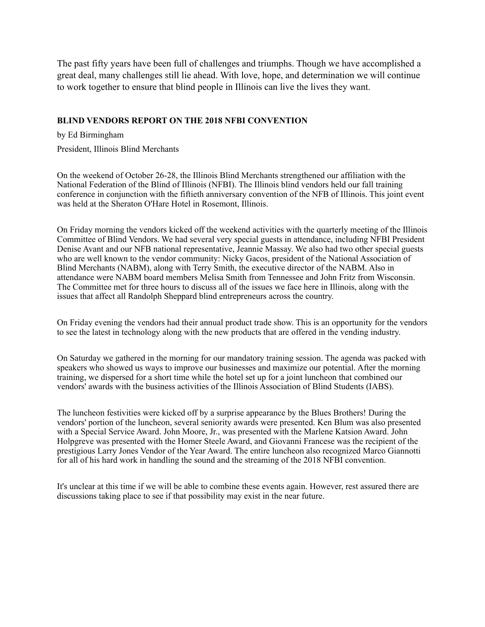The past fifty years have been full of challenges and triumphs. Though we have accomplished a great deal, many challenges still lie ahead. With love, hope, and determination we will continue to work together to ensure that blind people in Illinois can live the lives they want.

### **BLIND VENDORS REPORT ON THE 2018 NFBI CONVENTION**

by Ed Birmingham

President, Illinois Blind Merchants

On the weekend of October 26-28, the Illinois Blind Merchants strengthened our affiliation with the National Federation of the Blind of Illinois (NFBI). The Illinois blind vendors held our fall training conference in conjunction with the fiftieth anniversary convention of the NFB of Illinois. This joint event was held at the Sheraton O'Hare Hotel in Rosemont, Illinois.

On Friday morning the vendors kicked off the weekend activities with the quarterly meeting of the Illinois Committee of Blind Vendors. We had several very special guests in attendance, including NFBI President Denise Avant and our NFB national representative, Jeannie Massay. We also had two other special guests who are well known to the vendor community: Nicky Gacos, president of the National Association of Blind Merchants (NABM), along with Terry Smith, the executive director of the NABM. Also in attendance were NABM board members Melisa Smith from Tennessee and John Fritz from Wisconsin. The Committee met for three hours to discuss all of the issues we face here in Illinois, along with the issues that affect all Randolph Sheppard blind entrepreneurs across the country.

On Friday evening the vendors had their annual product trade show. This is an opportunity for the vendors to see the latest in technology along with the new products that are offered in the vending industry.

On Saturday we gathered in the morning for our mandatory training session. The agenda was packed with speakers who showed us ways to improve our businesses and maximize our potential. After the morning training, we dispersed for a short time while the hotel set up for a joint luncheon that combined our vendors' awards with the business activities of the Illinois Association of Blind Students (IABS).

The luncheon festivities were kicked off by a surprise appearance by the Blues Brothers! During the vendors' portion of the luncheon, several seniority awards were presented. Ken Blum was also presented with a Special Service Award. John Moore, Jr., was presented with the Marlene Katsion Award. John Holpgreve was presented with the Homer Steele Award, and Giovanni Francese was the recipient of the prestigious Larry Jones Vendor of the Year Award. The entire luncheon also recognized Marco Giannotti for all of his hard work in handling the sound and the streaming of the 2018 NFBI convention.

It's unclear at this time if we will be able to combine these events again. However, rest assured there are discussions taking place to see if that possibility may exist in the near future.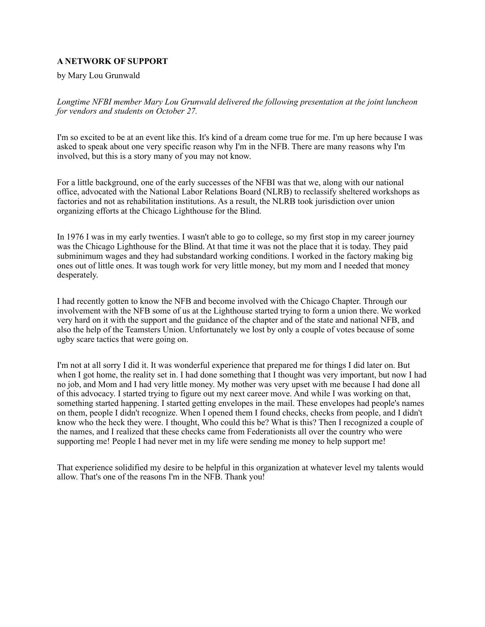## **A NETWORK OF SUPPORT**

by Mary Lou Grunwald

*Longtime NFBI member Mary Lou Grunwald delivered the following presentation at the joint luncheon for vendors and students on October 27.* 

I'm so excited to be at an event like this. It's kind of a dream come true for me. I'm up here because I was asked to speak about one very specific reason why I'm in the NFB. There are many reasons why I'm involved, but this is a story many of you may not know.

For a little background, one of the early successes of the NFBI was that we, along with our national office, advocated with the National Labor Relations Board (NLRB) to reclassify sheltered workshops as factories and not as rehabilitation institutions. As a result, the NLRB took jurisdiction over union organizing efforts at the Chicago Lighthouse for the Blind.

In 1976 I was in my early twenties. I wasn't able to go to college, so my first stop in my career journey was the Chicago Lighthouse for the Blind. At that time it was not the place that it is today. They paid subminimum wages and they had substandard working conditions. I worked in the factory making big ones out of little ones. It was tough work for very little money, but my mom and I needed that money desperately.

I had recently gotten to know the NFB and become involved with the Chicago Chapter. Through our involvement with the NFB some of us at the Lighthouse started trying to form a union there. We worked very hard on it with the support and the guidance of the chapter and of the state and national NFB, and also the help of the Teamsters Union. Unfortunately we lost by only a couple of votes because of some ugby scare tactics that were going on.

I'm not at all sorry I did it. It was wonderful experience that prepared me for things I did later on. But when I got home, the reality set in. I had done something that I thought was very important, but now I had no job, and Mom and I had very little money. My mother was very upset with me because I had done all of this advocacy. I started trying to figure out my next career move. And while I was working on that, something started happening. I started getting envelopes in the mail. These envelopes had people's names on them, people I didn't recognize. When I opened them I found checks, checks from people, and I didn't know who the heck they were. I thought, Who could this be? What is this? Then I recognized a couple of the names, and I realized that these checks came from Federationists all over the country who were supporting me! People I had never met in my life were sending me money to help support me!

That experience solidified my desire to be helpful in this organization at whatever level my talents would allow. That's one of the reasons I'm in the NFB. Thank you!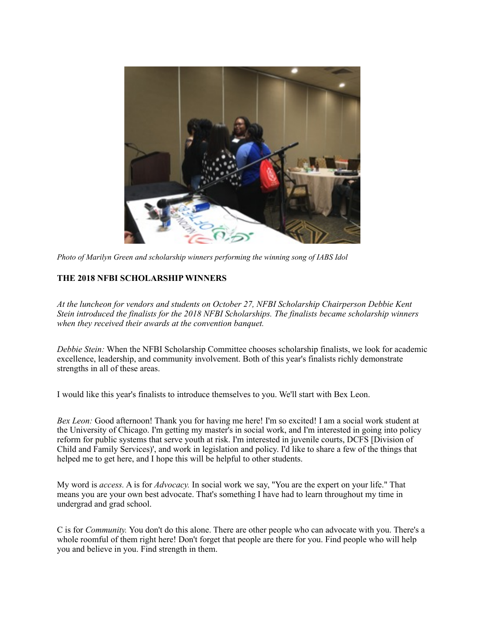

*Photo of Marilyn Green and scholarship winners performing the winning song of IABS Idol*

## **THE 2018 NFBI SCHOLARSHIP WINNERS**

*At the luncheon for vendors and students on October 27, NFBI Scholarship Chairperson Debbie Kent Stein introduced the finalists for the 2018 NFBI Scholarships. The finalists became scholarship winners when they received their awards at the convention banquet.* 

*Debbie Stein:* When the NFBI Scholarship Committee chooses scholarship finalists, we look for academic excellence, leadership, and community involvement. Both of this year's finalists richly demonstrate strengths in all of these areas.

I would like this year's finalists to introduce themselves to you. We'll start with Bex Leon.

*Bex Leon:* Good afternoon! Thank you for having me here! I'm so excited! I am a social work student at the University of Chicago. I'm getting my master's in social work, and I'm interested in going into policy reform for public systems that serve youth at risk. I'm interested in juvenile courts, DCFS [Division of Child and Family Services)', and work in legislation and policy. I'd like to share a few of the things that helped me to get here, and I hope this will be helpful to other students.

My word is *access.* A is for *Advocacy.* In social work we say, "You are the expert on your life." That means you are your own best advocate. That's something I have had to learn throughout my time in undergrad and grad school.

C is for *Community.* You don't do this alone. There are other people who can advocate with you. There's a whole roomful of them right here! Don't forget that people are there for you. Find people who will help you and believe in you. Find strength in them.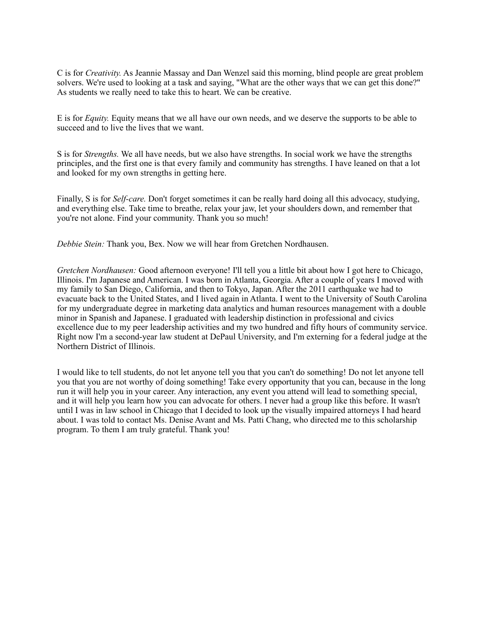C is for *Creativity.* As Jeannie Massay and Dan Wenzel said this morning, blind people are great problem solvers. We're used to looking at a task and saying, "What are the other ways that we can get this done?" As students we really need to take this to heart. We can be creative.

E is for *Equity.* Equity means that we all have our own needs, and we deserve the supports to be able to succeed and to live the lives that we want.

S is for *Strengths.* We all have needs, but we also have strengths. In social work we have the strengths principles, and the first one is that every family and community has strengths. I have leaned on that a lot and looked for my own strengths in getting here.

Finally, S is for *Self-care.* Don't forget sometimes it can be really hard doing all this advocacy, studying, and everything else. Take time to breathe, relax your jaw, let your shoulders down, and remember that you're not alone. Find your community. Thank you so much!

*Debbie Stein:* Thank you, Bex. Now we will hear from Gretchen Nordhausen.

*Gretchen Nordhausen:* Good afternoon everyone! I'll tell you a little bit about how I got here to Chicago, Illinois. I'm Japanese and American. I was born in Atlanta, Georgia. After a couple of years I moved with my family to San Diego, California, and then to Tokyo, Japan. After the 2011 earthquake we had to evacuate back to the United States, and I lived again in Atlanta. I went to the University of South Carolina for my undergraduate degree in marketing data analytics and human resources management with a double minor in Spanish and Japanese. I graduated with leadership distinction in professional and civics excellence due to my peer leadership activities and my two hundred and fifty hours of community service. Right now I'm a second-year law student at DePaul University, and I'm externing for a federal judge at the Northern District of Illinois.

I would like to tell students, do not let anyone tell you that you can't do something! Do not let anyone tell you that you are not worthy of doing something! Take every opportunity that you can, because in the long run it will help you in your career. Any interaction, any event you attend will lead to something special, and it will help you learn how you can advocate for others. I never had a group like this before. It wasn't until I was in law school in Chicago that I decided to look up the visually impaired attorneys I had heard about. I was told to contact Ms. Denise Avant and Ms. Patti Chang, who directed me to this scholarship program. To them I am truly grateful. Thank you!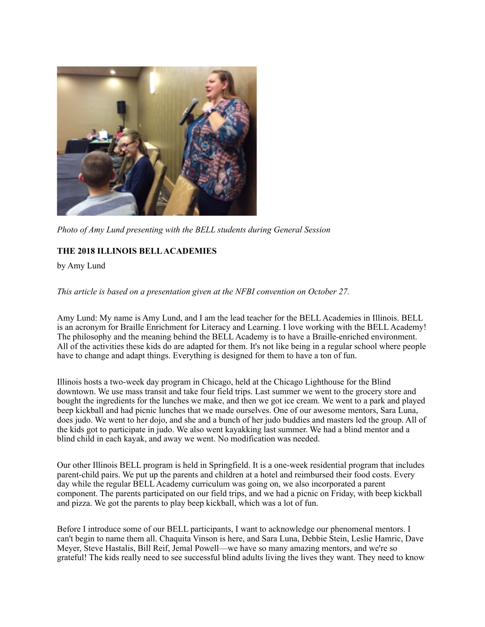

*Photo of Amy Lund presenting with the BELL students during General Session* 

# **THE 2018 ILLINOIS BELL ACADEMIES**

by Amy Lund

*This article is based on a presentation given at the NFBI convention on October 27.* 

Amy Lund: My name is Amy Lund, and I am the lead teacher for the BELL Academies in Illinois. BELL is an acronym for Braille Enrichment for Literacy and Learning. I love working with the BELL Academy! The philosophy and the meaning behind the BELL Academy is to have a Braille-enriched environment. All of the activities these kids do are adapted for them. It's not like being in a regular school where people have to change and adapt things. Everything is designed for them to have a ton of fun.

Illinois hosts a two-week day program in Chicago, held at the Chicago Lighthouse for the Blind downtown. We use mass transit and take four field trips. Last summer we went to the grocery store and bought the ingredients for the lunches we make, and then we got ice cream. We went to a park and played beep kickball and had picnic lunches that we made ourselves. One of our awesome mentors, Sara Luna, does judo. We went to her dojo, and she and a bunch of her judo buddies and masters led the group. All of the kids got to participate in judo. We also went kayakking last summer. We had a blind mentor and a blind child in each kayak, and away we went. No modification was needed.

Our other Illinois BELL program is held in Springfield. It is a one-week residential program that includes parent-child pairs. We put up the parents and children at a hotel and reimbursed their food costs. Every day while the regular BELL Academy curriculum was going on, we also incorporated a parent component. The parents participated on our field trips, and we had a picnic on Friday, with beep kickball and pizza. We got the parents to play beep kickball, which was a lot of fun.

Before I introduce some of our BELL participants, I want to acknowledge our phenomenal mentors. I can't begin to name them all. Chaquita Vinson is here, and Sara Luna, Debbie Stein, Leslie Hamric, Dave Meyer, Steve Hastalis, Bill Reif, Jemal Powell—we have so many amazing mentors, and we're so grateful! The kids really need to see successful blind adults living the lives they want. They need to know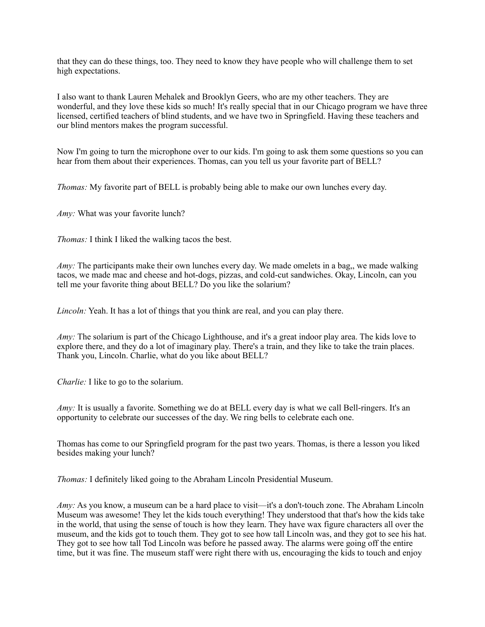that they can do these things, too. They need to know they have people who will challenge them to set high expectations.

I also want to thank Lauren Mehalek and Brooklyn Geers, who are my other teachers. They are wonderful, and they love these kids so much! It's really special that in our Chicago program we have three licensed, certified teachers of blind students, and we have two in Springfield. Having these teachers and our blind mentors makes the program successful.

Now I'm going to turn the microphone over to our kids. I'm going to ask them some questions so you can hear from them about their experiences. Thomas, can you tell us your favorite part of BELL?

*Thomas:* My favorite part of BELL is probably being able to make our own lunches every day.

*Amy:* What was your favorite lunch?

*Thomas:* I think I liked the walking tacos the best.

*Amy:* The participants make their own lunches every day. We made omelets in a bag,, we made walking tacos, we made mac and cheese and hot-dogs, pizzas, and cold-cut sandwiches. Okay, Lincoln, can you tell me your favorite thing about BELL? Do you like the solarium?

*Lincoln:* Yeah. It has a lot of things that you think are real, and you can play there.

*Amy*: The solarium is part of the Chicago Lighthouse, and it's a great indoor play area. The kids love to explore there, and they do a lot of imaginary play. There's a train, and they like to take the train places. Thank you, Lincoln. Charlie, what do you like about BELL?

*Charlie:* I like to go to the solarium.

*Amy*: It is usually a favorite. Something we do at BELL every day is what we call Bell-ringers. It's an opportunity to celebrate our successes of the day. We ring bells to celebrate each one.

Thomas has come to our Springfield program for the past two years. Thomas, is there a lesson you liked besides making your lunch?

*Thomas:* I definitely liked going to the Abraham Lincoln Presidential Museum.

*Amy:* As you know, a museum can be a hard place to visit—it's a don't-touch zone. The Abraham Lincoln Museum was awesome! They let the kids touch everything! They understood that that's how the kids take in the world, that using the sense of touch is how they learn. They have wax figure characters all over the museum, and the kids got to touch them. They got to see how tall Lincoln was, and they got to see his hat. They got to see how tall Tod Lincoln was before he passed away. The alarms were going off the entire time, but it was fine. The museum staff were right there with us, encouraging the kids to touch and enjoy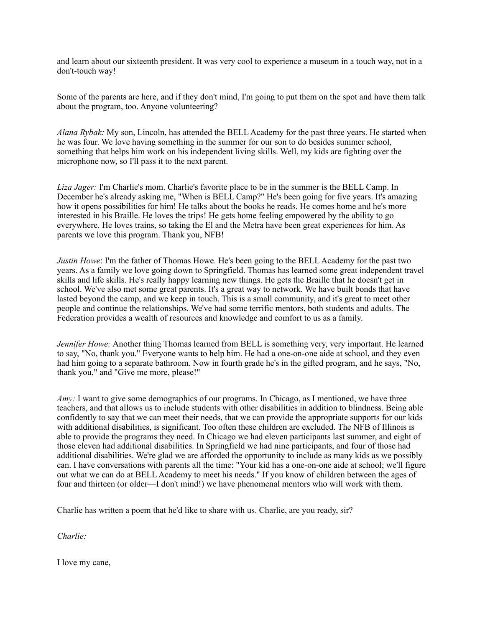and learn about our sixteenth president. It was very cool to experience a museum in a touch way, not in a don't-touch way!

Some of the parents are here, and if they don't mind, I'm going to put them on the spot and have them talk about the program, too. Anyone volunteering?

*Alana Rybak:* My son, Lincoln, has attended the BELL Academy for the past three years. He started when he was four. We love having something in the summer for our son to do besides summer school, something that helps him work on his independent living skills. Well, my kids are fighting over the microphone now, so I'll pass it to the next parent.

*Liza Jager:* I'm Charlie's mom. Charlie's favorite place to be in the summer is the BELL Camp. In December he's already asking me, "When is BELL Camp?" He's been going for five years. It's amazing how it opens possibilities for him! He talks about the books he reads. He comes home and he's more interested in his Braille. He loves the trips! He gets home feeling empowered by the ability to go everywhere. He loves trains, so taking the El and the Metra have been great experiences for him. As parents we love this program. Thank you, NFB!

*Justin Howe*: I'm the father of Thomas Howe. He's been going to the BELL Academy for the past two years. As a family we love going down to Springfield. Thomas has learned some great independent travel skills and life skills. He's really happy learning new things. He gets the Braille that he doesn't get in school. We've also met some great parents. It's a great way to network. We have built bonds that have lasted beyond the camp, and we keep in touch. This is a small community, and it's great to meet other people and continue the relationships. We've had some terrific mentors, both students and adults. The Federation provides a wealth of resources and knowledge and comfort to us as a family.

*Jennifer Howe:* Another thing Thomas learned from BELL is something very, very important. He learned to say, "No, thank you." Everyone wants to help him. He had a one-on-one aide at school, and they even had him going to a separate bathroom. Now in fourth grade he's in the gifted program, and he says, "No, thank you," and "Give me more, please!"

*Amy*: I want to give some demographics of our programs. In Chicago, as I mentioned, we have three teachers, and that allows us to include students with other disabilities in addition to blindness. Being able confidently to say that we can meet their needs, that we can provide the appropriate supports for our kids with additional disabilities, is significant. Too often these children are excluded. The NFB of Illinois is able to provide the programs they need. In Chicago we had eleven participants last summer, and eight of those eleven had additional disabilities. In Springfield we had nine participants, and four of those had additional disabilities. We're glad we are afforded the opportunity to include as many kids as we possibly can. I have conversations with parents all the time: "Your kid has a one-on-one aide at school; we'll figure out what we can do at BELL Academy to meet his needs." If you know of children between the ages of four and thirteen (or older—I don't mind!) we have phenomenal mentors who will work with them.

Charlie has written a poem that he'd like to share with us. Charlie, are you ready, sir?

*Charlie:* 

I love my cane,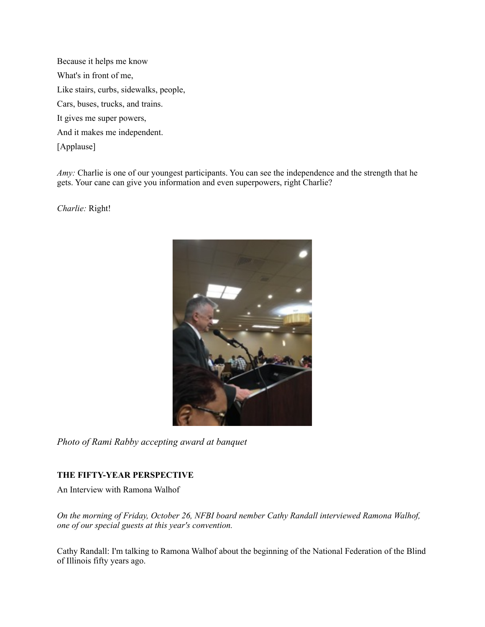Because it helps me know What's in front of me, Like stairs, curbs, sidewalks, people, Cars, buses, trucks, and trains. It gives me super powers, And it makes me independent. [Applause]

*Amy:* Charlie is one of our youngest participants. You can see the independence and the strength that he gets. Your cane can give you information and even superpowers, right Charlie?

*Charlie:* Right!



*Photo of Rami Rabby accepting award at banquet* 

## **THE FIFTY-YEAR PERSPECTIVE**

An Interview with Ramona Walhof

*On the morning of Friday, October 26, NFBI board nember Cathy Randall interviewed Ramona Walhof, one of our special guests at this year's convention.* 

Cathy Randall: I'm talking to Ramona Walhof about the beginning of the National Federation of the Blind of Illinois fifty years ago.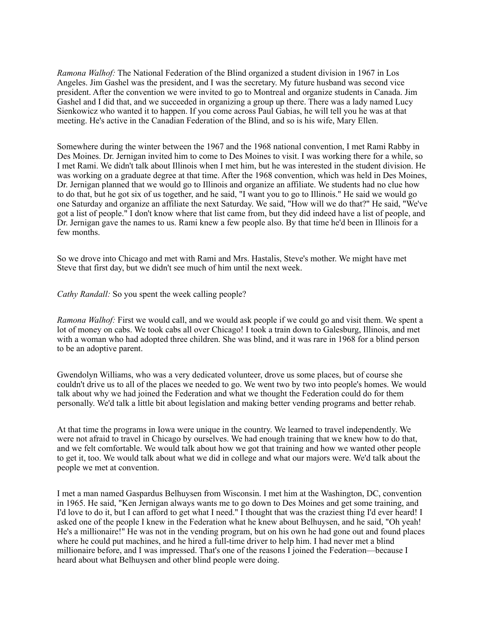*Ramona Walhof:* The National Federation of the Blind organized a student division in 1967 in Los Angeles. Jim Gashel was the president, and I was the secretary. My future husband was second vice president. After the convention we were invited to go to Montreal and organize students in Canada. Jim Gashel and I did that, and we succeeded in organizing a group up there. There was a lady named Lucy Sienkowicz who wanted it to happen. If you come across Paul Gabias, he will tell you he was at that meeting. He's active in the Canadian Federation of the Blind, and so is his wife, Mary Ellen.

Somewhere during the winter between the 1967 and the 1968 national convention, I met Rami Rabby in Des Moines. Dr. Jernigan invited him to come to Des Moines to visit. I was working there for a while, so I met Rami. We didn't talk about Illinois when I met him, but he was interested in the student division. He was working on a graduate degree at that time. After the 1968 convention, which was held in Des Moines, Dr. Jernigan planned that we would go to Illinois and organize an affiliate. We students had no clue how to do that, but he got six of us together, and he said, "I want you to go to Illinois." He said we would go one Saturday and organize an affiliate the next Saturday. We said, "How will we do that?" He said, "We've got a list of people." I don't know where that list came from, but they did indeed have a list of people, and Dr. Jernigan gave the names to us. Rami knew a few people also. By that time he'd been in Illinois for a few months.

So we drove into Chicago and met with Rami and Mrs. Hastalis, Steve's mother. We might have met Steve that first day, but we didn't see much of him until the next week.

*Cathy Randall:* So you spent the week calling people?

*Ramona Walhof:* First we would call, and we would ask people if we could go and visit them. We spent a lot of money on cabs. We took cabs all over Chicago! I took a train down to Galesburg, Illinois, and met with a woman who had adopted three children. She was blind, and it was rare in 1968 for a blind person to be an adoptive parent.

Gwendolyn Williams, who was a very dedicated volunteer, drove us some places, but of course she couldn't drive us to all of the places we needed to go. We went two by two into people's homes. We would talk about why we had joined the Federation and what we thought the Federation could do for them personally. We'd talk a little bit about legislation and making better vending programs and better rehab.

At that time the programs in Iowa were unique in the country. We learned to travel independently. We were not afraid to travel in Chicago by ourselves. We had enough training that we knew how to do that, and we felt comfortable. We would talk about how we got that training and how we wanted other people to get it, too. We would talk about what we did in college and what our majors were. We'd talk about the people we met at convention.

I met a man named Gaspardus Belhuysen from Wisconsin. I met him at the Washington, DC, convention in 1965. He said, "Ken Jernigan always wants me to go down to Des Moines and get some training, and I'd love to do it, but I can afford to get what I need." I thought that was the craziest thing I'd ever heard! I asked one of the people I knew in the Federation what he knew about Belhuysen, and he said, "Oh yeah! He's a millionaire!" He was not in the vending program, but on his own he had gone out and found places where he could put machines, and he hired a full-time driver to help him. I had never met a blind millionaire before, and I was impressed. That's one of the reasons I joined the Federation—because I heard about what Belhuysen and other blind people were doing.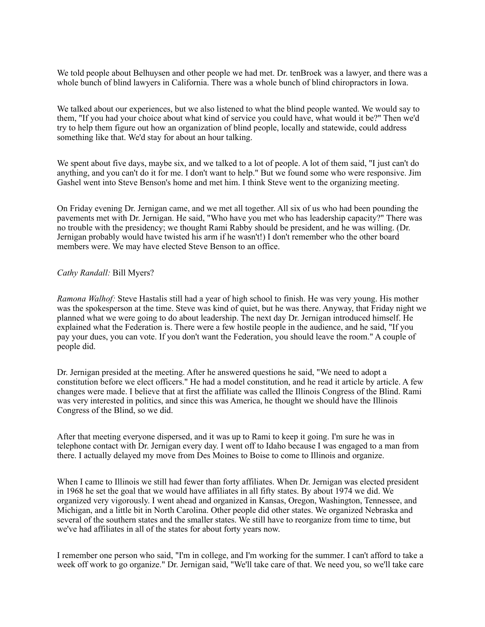We told people about Belhuysen and other people we had met. Dr. tenBroek was a lawyer, and there was a whole bunch of blind lawyers in California. There was a whole bunch of blind chiropractors in Iowa.

We talked about our experiences, but we also listened to what the blind people wanted. We would say to them, "If you had your choice about what kind of service you could have, what would it be?" Then we'd try to help them figure out how an organization of blind people, locally and statewide, could address something like that. We'd stay for about an hour talking.

We spent about five days, maybe six, and we talked to a lot of people. A lot of them said, "I just can't do anything, and you can't do it for me. I don't want to help." But we found some who were responsive. Jim Gashel went into Steve Benson's home and met him. I think Steve went to the organizing meeting.

On Friday evening Dr. Jernigan came, and we met all together. All six of us who had been pounding the pavements met with Dr. Jernigan. He said, "Who have you met who has leadership capacity?" There was no trouble with the presidency; we thought Rami Rabby should be president, and he was willing. (Dr. Jernigan probably would have twisted his arm if he wasn't!) I don't remember who the other board members were. We may have elected Steve Benson to an office.

#### *Cathy Randall:* Bill Myers?

*Ramona Walhof:* Steve Hastalis still had a year of high school to finish. He was very young. His mother was the spokesperson at the time. Steve was kind of quiet, but he was there. Anyway, that Friday night we planned what we were going to do about leadership. The next day Dr. Jernigan introduced himself. He explained what the Federation is. There were a few hostile people in the audience, and he said, "If you pay your dues, you can vote. If you don't want the Federation, you should leave the room." A couple of people did.

Dr. Jernigan presided at the meeting. After he answered questions he said, "We need to adopt a constitution before we elect officers." He had a model constitution, and he read it article by article. A few changes were made. I believe that at first the affiliate was called the Illinois Congress of the Blind. Rami was very interested in politics, and since this was America, he thought we should have the Illinois Congress of the Blind, so we did.

After that meeting everyone dispersed, and it was up to Rami to keep it going. I'm sure he was in telephone contact with Dr. Jernigan every day. I went off to Idaho because I was engaged to a man from there. I actually delayed my move from Des Moines to Boise to come to Illinois and organize.

When I came to Illinois we still had fewer than forty affiliates. When Dr. Jernigan was elected president in 1968 he set the goal that we would have affiliates in all fifty states. By about 1974 we did. We organized very vigorously. I went ahead and organized in Kansas, Oregon, Washington, Tennessee, and Michigan, and a little bit in North Carolina. Other people did other states. We organized Nebraska and several of the southern states and the smaller states. We still have to reorganize from time to time, but we've had affiliates in all of the states for about forty years now.

I remember one person who said, "I'm in college, and I'm working for the summer. I can't afford to take a week off work to go organize." Dr. Jernigan said, "We'll take care of that. We need you, so we'll take care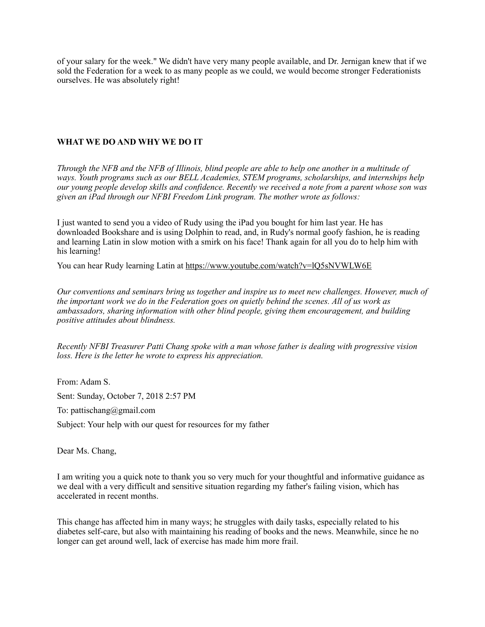of your salary for the week." We didn't have very many people available, and Dr. Jernigan knew that if we sold the Federation for a week to as many people as we could, we would become stronger Federationists ourselves. He was absolutely right!

### **WHAT WE DO AND WHY WE DO IT**

*Through the NFB and the NFB of Illinois, blind people are able to help one another in a multitude of ways. Youth programs such as our BELL Academies, STEM programs, scholarships, and internships help our young people develop skills and confidence. Recently we received a note from a parent whose son was given an iPad through our NFBI Freedom Link program. The mother wrote as follows:* 

I just wanted to send you a video of Rudy using the iPad you bought for him last year. He has downloaded Bookshare and is using Dolphin to read, and, in Rudy's normal goofy fashion, he is reading and learning Latin in slow motion with a smirk on his face! Thank again for all you do to help him with his learning!

You can hear Rudy learning Latin at<https://www.youtube.com/watch?v=lQ5sNVWLW6E>

*Our conventions and seminars bring us together and inspire us to meet new challenges. However, much of the important work we do in the Federation goes on quietly behind the scenes. All of us work as ambassadors, sharing information with other blind people, giving them encouragement, and building positive attitudes about blindness.* 

*Recently NFBI Treasurer Patti Chang spoke with a man whose father is dealing with progressive vision loss. Here is the letter he wrote to express his appreciation.* 

From: Adam S. Sent: Sunday, October 7, 2018 2:57 PM To: pattischang@gmail.com Subject: Your help with our quest for resources for my father

Dear Ms. Chang,

I am writing you a quick note to thank you so very much for your thoughtful and informative guidance as we deal with a very difficult and sensitive situation regarding my father's failing vision, which has accelerated in recent months.

This change has affected him in many ways; he struggles with daily tasks, especially related to his diabetes self-care, but also with maintaining his reading of books and the news. Meanwhile, since he no longer can get around well, lack of exercise has made him more frail.